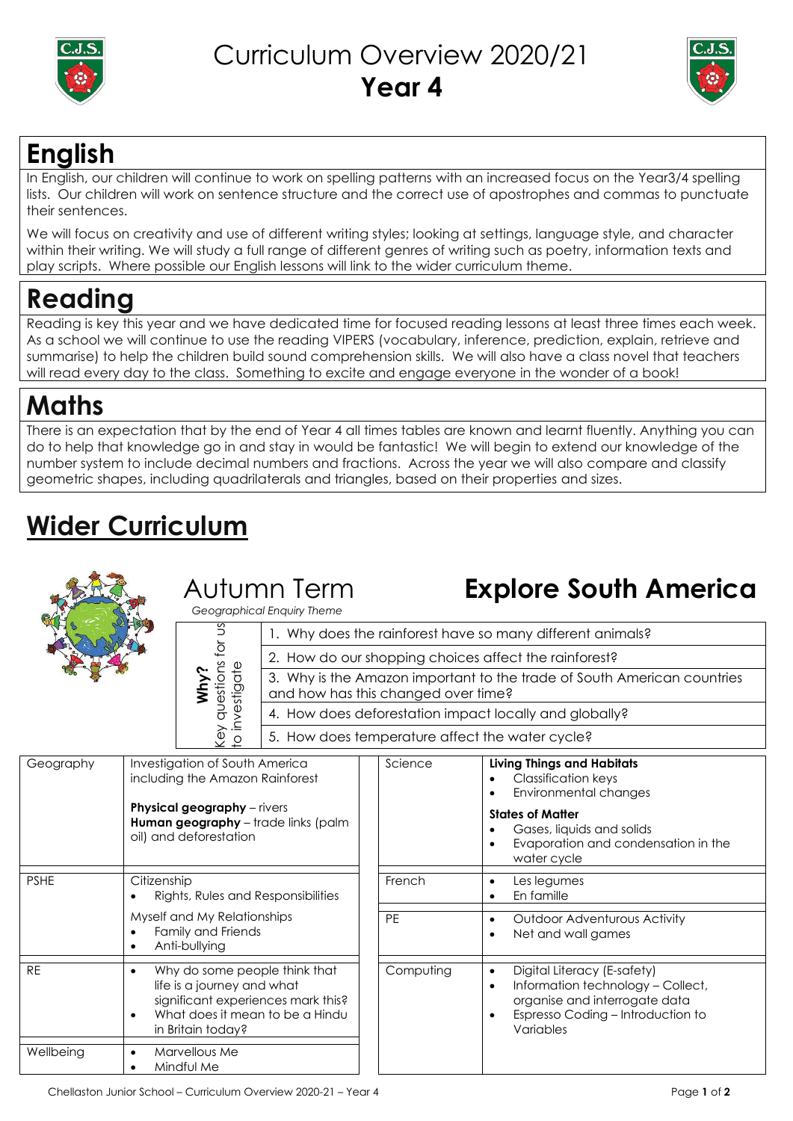



### **English**

In English, our children will continue to work on spelling patterns with an increased focus on the Year3/4 spelling lists. Our children will work on sentence structure and the correct use of apostrophes and commas to punctuate their sentences.

We will focus on creativity and use of different writing styles; looking at settings, language style, and character within their writing. We will study a full range of different genres of writing such as poetry, information texts and play scripts. Where possible our English lessons will link to the wider curriculum theme.

## **Reading**

Reading is key this year and we have dedicated time for focused reading lessons at least three times each week. As a school we will continue to use the reading VIPERS (vocabulary, inference, prediction, explain, retrieve and summarise) to help the children build sound comprehension skills. We will also have a class novel that teachers will read every day to the class. Something to excite and engage everyone in the wonder of a book!

### **Maths**

There is an expectation that by the end of Year 4 all times tables are known and learnt fluently. Anything you can do to help that knowledge go in and stay in would be fantastic! We will begin to extend our knowledge of the number system to include decimal numbers and fractions. Across the year we will also compare and classify geometric shapes, including quadrilaterals and triangles, based on their properties and sizes.

# **Wider Curriculum**

| ğ<br>questions<br>estigate<br>Why<br>Ňqi<br>จิ<br>$\circ$ |                                                   | Autumn Term<br>Geographical Enquiry Theme                                                                                         |                                                                                                                                                                          | <b>Explore South America</b><br>1. Why does the rainforest have so many different animals?<br>2. How do our shopping choices affect the rainforest? |                                                                                                                                                                                                        |  |
|-----------------------------------------------------------|---------------------------------------------------|-----------------------------------------------------------------------------------------------------------------------------------|--------------------------------------------------------------------------------------------------------------------------------------------------------------------------|-----------------------------------------------------------------------------------------------------------------------------------------------------|--------------------------------------------------------------------------------------------------------------------------------------------------------------------------------------------------------|--|
|                                                           |                                                   |                                                                                                                                   | 3. Why is the Amazon important to the trade of South American countries<br>and how has this changed over time?<br>4. How does deforestation impact locally and globally? |                                                                                                                                                     |                                                                                                                                                                                                        |  |
|                                                           |                                                   | 5. How does temperature affect the water cycle?                                                                                   |                                                                                                                                                                          |                                                                                                                                                     |                                                                                                                                                                                                        |  |
| Geography                                                 |                                                   | Investigation of South America<br>including the Amazon Rainforest<br><b>Physical geography</b> - rivers<br>oil) and deforestation | Human geography - trade links (palm                                                                                                                                      | Science                                                                                                                                             | <b>Living Things and Habitats</b><br><b>Classification keys</b><br>Environmental changes<br><b>States of Matter</b><br>Gases, liquids and solids<br>Evaporation and condensation in the<br>water cycle |  |
| <b>PSHE</b>                                               | Citizenship<br>Rights, Rules and Responsibilities |                                                                                                                                   |                                                                                                                                                                          | French                                                                                                                                              | Les legumes<br>En famille                                                                                                                                                                              |  |
|                                                           |                                                   | Myself and My Relationships<br>Eamily and Friands                                                                                 |                                                                                                                                                                          | PE                                                                                                                                                  | <b>Outdoor Adventurous Activity</b><br>$\bullet$                                                                                                                                                       |  |

|           | Lyapoiallon and condensation in me<br>water cycle                                                                                                   |
|-----------|-----------------------------------------------------------------------------------------------------------------------------------------------------|
| French    | Les legumes<br>En famille                                                                                                                           |
| PF        | <b>Outdoor Adventurous Activity</b><br>Net and wall games                                                                                           |
| Computing | Digital Literacy (E-safety)<br>Information technology – Collect,<br>organise and interrogate data<br>Espresso Coding – Introduction to<br>Variables |